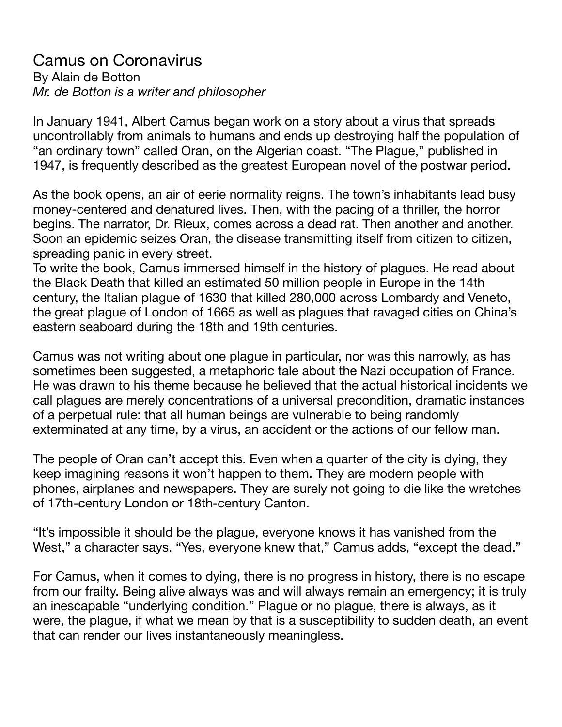## Camus on Coronavirus By Alain de Botton *Mr. de Botton is a writer and philosopher*

In January 1941, Albert Camus began work on a story about a virus that spreads uncontrollably from animals to humans and ends up destroying half the population of "an ordinary town" called Oran, on the Algerian coast. "The Plague," published in 1947, is frequently described as the greatest European novel of the postwar period.

As the book opens, an air of eerie normality reigns. The town's inhabitants lead busy money-centered and denatured lives. Then, with the pacing of a thriller, the horror begins. The narrator, Dr. Rieux, comes across a dead rat. Then another and another. Soon an epidemic seizes Oran, the disease transmitting itself from citizen to citizen, spreading panic in every street.

To write the book, Camus immersed himself in the history of plagues. He read about the Black Death that killed an estimated 50 million people in Europe in the 14th century, the Italian plague of 1630 that killed 280,000 across Lombardy and Veneto, the great plague of London of 1665 as well as plagues that ravaged cities on China's eastern seaboard during the 18th and 19th centuries.

Camus was not writing about one plague in particular, nor was this narrowly, as has sometimes been suggested, a metaphoric tale about the Nazi occupation of France. He was drawn to his theme because he believed that the actual historical incidents we call plagues are merely concentrations of a universal precondition, dramatic instances of a perpetual rule: that all human beings are vulnerable to being randomly exterminated at any time, by a virus, an accident or the actions of our fellow man.

The people of Oran can't accept this. Even when a quarter of the city is dying, they keep imagining reasons it won't happen to them. They are modern people with phones, airplanes and newspapers. They are surely not going to die like the wretches of 17th-century London or 18th-century Canton.

"It's impossible it should be the plague, everyone knows it has vanished from the West," a character says. "Yes, everyone knew that," Camus adds, "except the dead."

For Camus, when it comes to dying, there is no progress in history, there is no escape from our frailty. Being alive always was and will always remain an emergency; it is truly an inescapable "underlying condition." Plague or no plague, there is always, as it were, the plague, if what we mean by that is a susceptibility to sudden death, an event that can render our lives instantaneously meaningless.